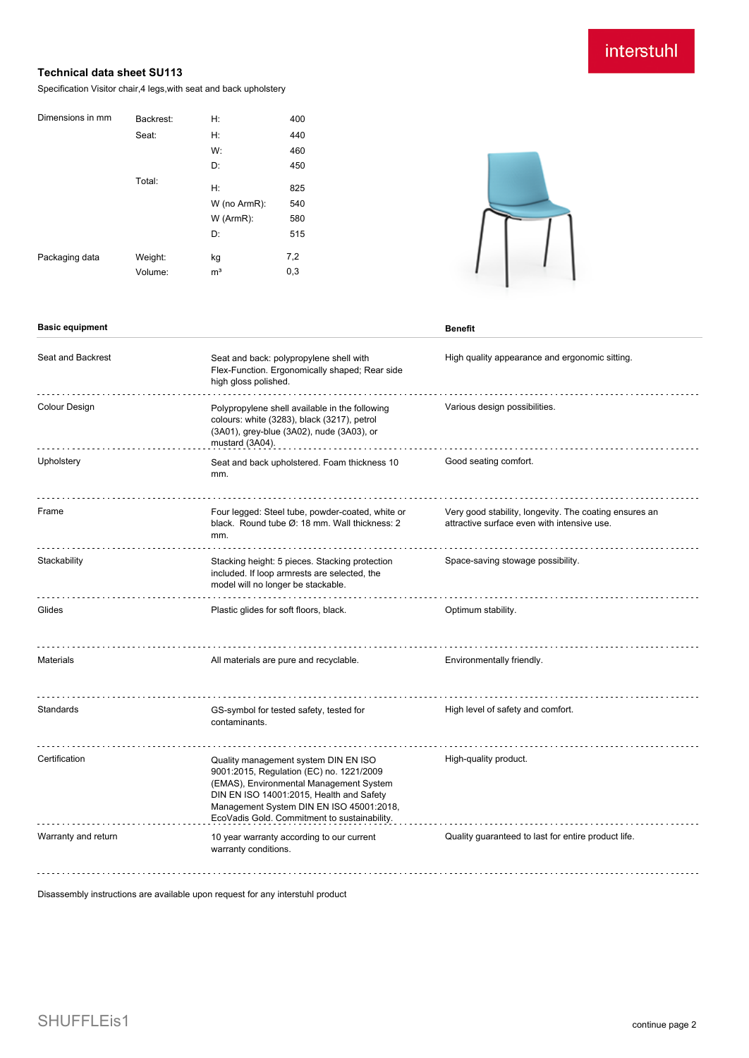## interstuhl

## **Technical data sheet SU113**

Specification Visitor chair,4 legs,with seat and back upholstery

| Backrest: | H:             | 400                |
|-----------|----------------|--------------------|
| Seat:     | H:             | 440                |
|           | W:             | 460                |
|           | D:             | 450                |
| Total:    |                |                    |
|           |                | 825                |
|           |                | 540                |
|           | $W$ (ArmR):    | 580                |
|           | D:             | 515                |
| Weight:   | kg             | 7,2                |
| Volume:   | m <sup>3</sup> | 0,3                |
|           |                | H:<br>W (no ArmR): |



| High quality appearance and ergonomic sitting.                                                        |
|-------------------------------------------------------------------------------------------------------|
| Various design possibilities.                                                                         |
|                                                                                                       |
| Very good stability, longevity. The coating ensures an<br>attractive surface even with intensive use. |
| Space-saving stowage possibility.                                                                     |
|                                                                                                       |
| Environmentally friendly.                                                                             |
| High level of safety and comfort.                                                                     |
|                                                                                                       |
| Quality guaranteed to last for entire product life.                                                   |
|                                                                                                       |

Disassembly instructions are available upon request for any interstuhl product